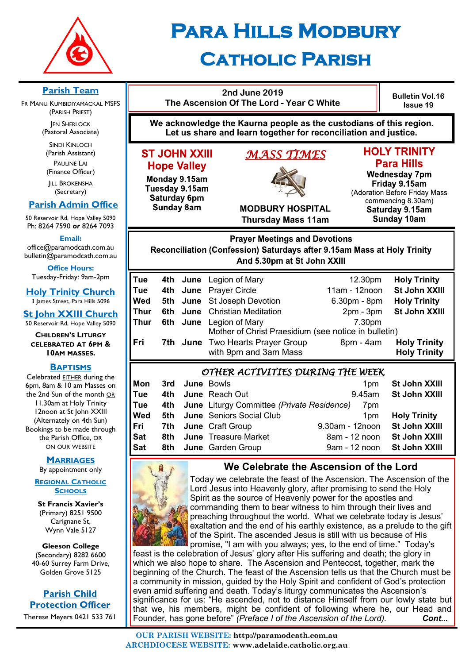

# **Para Hills Modbury Catholic Parish**

#### **Parish Team 2nd June 2019 Bulletin Vol.16 The Ascension Of The Lord - Year C White** FR MANU KUMBIDIYAMACKAL MSFS **Issue 19** (PARISH PRIEST) **We acknowledge the Kaurna people as the custodians of this region. JEN SHERLOCK** (Pastoral Associate) **Let us share and learn together for reconciliation and justice.** SINDI KINLOCH **HOLY TRINITY** (Parish Assistant) **ST JOHN XXIII** *MASS TIMES*  PAULINE LAI **Para Hills Hope Valley** (Finance Officer) **Wednesday 7pm** Monday 9.15am **IILL BROKENSHA** Friday 9.15am Tuesday 9.15am (Secretary) (Adoration Before Friday Mass Saturday 6pm commencing 8.30am)  **Parish Admin Office Sunday 8am MODBURY HOSPITAL** Saturday 9.15am 50 Reservoir Rd, Hope Valley 5090 **Thursday Mass 11am Sunday 10am** Ph: 8264 7590 *or* 8264 7093 **Email: Prayer Meetings and Devotions** office@paramodcath.com.au Reconciliation (Confession) Saturdays after 9.15am Mass at Holy Trinity bulletin@paramodcath.com.au And 5.30pm at St John XXIII **Office Hours:**  Tuesday-Friday: 9am-2pm **Tue** 4th June Legion of Mary 12.30pm **Holy Trinity Tue 4th June** Prayer Circle 11am - 12noon **St John XXIII Holy Trinity Church** 3 James Street, Para Hills 5096 **Wed 5th June** St Joseph Devotion 6.30pm - 8pm **Holy Trinity Thur** 6th June Christian Meditation 2pm - 3pm St John XXIII **St John XXIII Church Thur 6th June** Legion of Mary 7.30pm 50 Reservoir Rd, Hope Valley 5090 Mother of Christ Praesidium (see notice in bulletin) **CHILDREN'S LITURGY Fri** 7th June Two Hearts Prayer Group 8pm - 4am Holy Trinity<br>with 9pm and 3am Mass **Branger Holy Trinity CELEBRATED AT 6PM &**  with 9pm and 3am Mass **10AM MASSES. BAPTISMS** *OTHER ACTIVITIES DURING THE WEEK*  Celebrated EITHER during the **Mon 3rd** June Bowls **1pm St John XXIII** 6pm, 8am & 10 am Masses on **Tue 4th June** Reach Out 9.45am **St John XXIII** the 2nd Sun of the month OR 11.30am at Holy Trinity **Tue 4th June** Liturgy Committee *(Private Residence)* 7pm 12noon at St John XXIII **Wed 5th June** Seniors Social Club 1pm **Holy Trinity** (Alternately on 4th Sun) **Fri 7th June** Craft Group 9.30am - 12noon **St John XXIII** Bookings to be made through **Sat 8th June** Treasure Market 8am - 12 noon **St John XXIII** the Parish Office, OR ON OUR WEBSITE **Sat 8th June** Garden Group **9am - 12 noon St John XXIII MARRIAGES We Celebrate the Ascension of the Lord** By appointment only



**REGIONAL CATHOLIC SCHOOLS St Francis Xavier's**  (Primary) 8251 9500 Carignane St, Wynn Vale 5127

**Gleeson College**  (Secondary) 8282 6600 40-60 Surrey Farm Drive, Golden Grove 5125

**Parish Child Protection Officer** Therese Meyers 0421 533 761 Today we celebrate the feast of the Ascension. The Ascension of the Lord Jesus into Heavenly glory, after promising to send the Holy Spirit as the source of Heavenly power for the apostles and commanding them to bear witness to him through their lives and preaching throughout the world. What we celebrate today is Jesus' exaltation and the end of his earthly existence, as a prelude to the gift of the Spirit. The ascended Jesus is still with us because of His

promise, "I am with you always; yes, to the end of time." Today's feast is the celebration of Jesus' glory after His suffering and death; the glory in which we also hope to share. The Ascension and Pentecost, together, mark the beginning of the Church. The feast of the Ascension tells us that the Church must be a community in mission, guided by the Holy Spirit and confident of God's protection even amid suffering and death. Today's liturgy communicates the Ascension's significance for us: "He ascended, not to distance Himself from our lowly state but that we, his members, might be confident of following where he, our Head and Founder, has gone before" *(Preface I of the Ascension of the Lord). Cont...*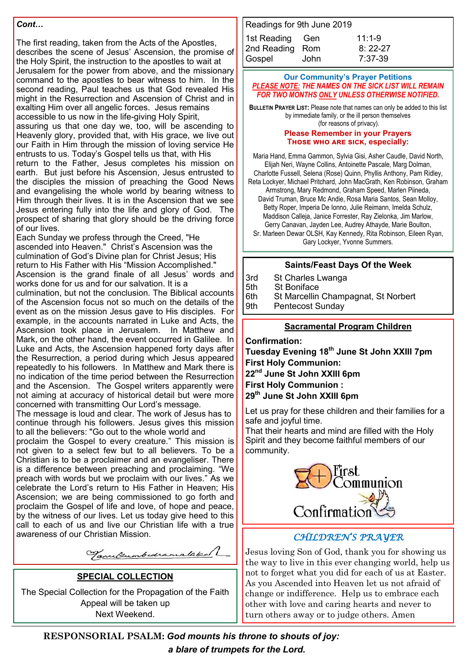#### *Cont…*

The first reading, taken from the Acts of the Apostles, describes the scene of Jesus' Ascension, the promise of the Holy Spirit, the instruction to the apostles to wait at Jerusalem for the power from above, and the missionary command to the apostles to bear witness to him. In the second reading, Paul teaches us that God revealed His might in the Resurrection and Ascension of Christ and in exalting Him over all angelic forces. Jesus remains accessible to us now in the life-giving Holy Spirit, assuring us that one day we, too, will be ascending to Heavenly glory, provided that, with His grace, we live out our Faith in Him through the mission of loving service He entrusts to us. Today's Gospel tells us that, with His return to the Father, Jesus completes his mission on earth. But just before his Ascension, Jesus entrusted to the disciples the mission of preaching the Good News and evangelising the whole world by bearing witness to Him through their lives. It is in the Ascension that we see Jesus entering fully into the life and glory of God. The prospect of sharing that glory should be the driving force of our lives.

Each Sunday we profess through the Creed, "He ascended into Heaven." Christ's Ascension was the culmination of God's Divine plan for Christ Jesus; His return to His Father with His "Mission Accomplished." Ascension is the grand finale of all Jesus' words and works done for us and for our salvation. It is a

culmination, but not the conclusion. The Biblical accounts of the Ascension focus not so much on the details of the event as on the mission Jesus gave to His disciples. For example, in the accounts narrated in Luke and Acts, the Ascension took place in Jerusalem. In Matthew and Mark, on the other hand, the event occurred in Galilee. In Luke and Acts, the Ascension happened forty days after the Resurrection, a period during which Jesus appeared repeatedly to his followers. In Matthew and Mark there is no indication of the time period between the Resurrection and the Ascension. The Gospel writers apparently were not aiming at accuracy of historical detail but were more concerned with transmitting Our Lord's message.

The message is loud and clear. The work of Jesus has to continue through his followers. Jesus gives this mission to all the believers: "Go out to the whole world and

proclaim the Gospel to every creature." This mission is not given to a select few but to all believers. To be a Christian is to be a proclaimer and an evangeliser. There is a difference between preaching and proclaiming. "We preach with words but we proclaim with our lives." As we celebrate the Lord's return to His Father in Heaven; His Ascension; we are being commissioned to go forth and proclaim the Gospel of life and love, of hope and peace, by the witness of our lives. Let us today give heed to this call to each of us and live our Christian life with a true awareness of our Christian Mission

Tanulumbedramalaked )

#### **SPECIAL COLLECTION**

The Special Collection for the Propagation of the Faith Appeal will be taken up Next Weekend.

| Readings for 9th June 2019 |      |           |
|----------------------------|------|-----------|
| 1st Reading Gen            |      | $11:1-9$  |
| 2nd Reading Rom            |      | $8:22-27$ |
| Gospel                     | John | $7:37-39$ |

#### **Our Community's Prayer Petitions**  *PLEASE NOTE: THE NAMES ON THE SICK LIST WILL REMAIN FOR TWO MONTHS ONLY UNLESS OTHERWISE NOTIFIED.*

**BULLETIN PRAYER LIST:** Please note that names can only be added to this list by immediate family, or the ill person themselves (for reasons of privacy).

#### **Please Remember in your Prayers Those who are sick, especially:**

Maria Hand, Emma Gammon, Sylvia Gisi, Asher Caudle, David North, Elijah Neri, Wayne Collins, Antoinette Pascale, Marg Dolman, Charlotte Fussell, Selena (Rose) Quinn, Phyllis Anthony, Pam Ridley,

Reta Lockyer, Michael Pritchard, John MacGrath, Ken Robinson, Graham Armstrong, Mary Redmond, Graham Speed, Marlen Piineda,

David Truman, Bruce Mc Andie, Rosa Maria Santos, Sean Molloy, Betty Roper, Imperia De Ionno, Julie Reimann, Imelda Schulz, Maddison Calleja, Janice Forrester, Ray Zielonka, Jim Marlow, Gerry Canavan, Jayden Lee, Audrey Athayde, Marie Boulton,

Sr. Marleen Dewar OLSH, Kay Kennedy, Rita Robinson, Eileen Ryan, Gary Lockyer, Yvonne Summers.

#### **Saints/Feast Days Of the Week**

3rd St Charles Lwanga

5th St Boniface

6th St Marcellin Champagnat, St Norbert

9th Pentecost Sunday

#### **Sacramental Program Children**

**Confirmation:** 

**Tuesday Evening 18th June St John XXIII 7pm First Holy Communion: 22nd June St John XXIII 6pm First Holy Communion :**

**29th June St John XXIII 6pm**

Let us pray for these children and their families for a safe and joyful time.

That their hearts and mind are filled with the Holy Spirit and they become faithful members of our community.



# awareness of our Christian Mission. *CHILDREN'S PRAYER*

Jesus loving Son of God, thank you for showing us the way to live in this ever changing world, help us not to forget what you did for each of us at Easter. As you Ascended into Heaven let us not afraid of change or indifference. Help us to embrace each other with love and caring hearts and never to turn others away or to judge others. Amen

**RESPONSORIAL PSALM:** *God mounts his throne to shouts of joy: a blare of trumpets for the Lord.*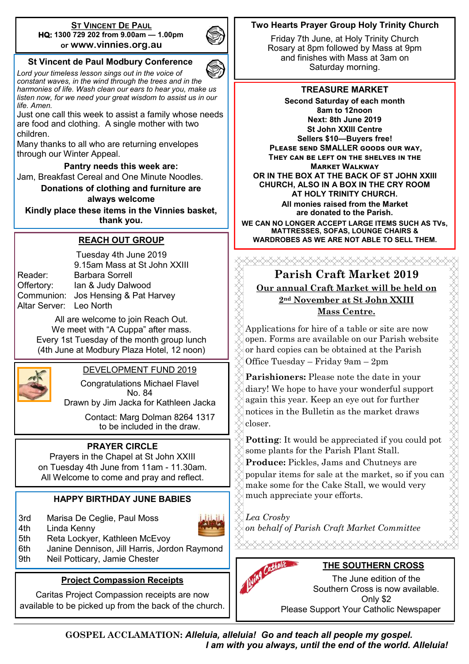#### **ST VINCENT DE PAUL HQ: 1300 729 202 from 9.00am — 1.00pm or www.vinnies.org.au**



#### **St Vincent de Paul Modbury Conference**

*Lord your timeless lesson sings out in the voice of constant waves, in the wind through the trees and in the harmonies of life. Wash clean our ears to hear you, make us listen now, for we need your great wisdom to assist us in our life. Amen.*

Just one call this week to assist a family whose needs are food and clothing. A single mother with two children.

Many thanks to all who are returning envelopes through our Winter Appeal.

**Pantry needs this week are:**  Jam, Breakfast Cereal and One Minute Noodles.

**Donations of clothing and furniture are always welcome**

**Kindly place these items in the Vinnies basket, thank you.**

#### **REACH OUT GROUP**

Altar Server: Leo North

Tuesday 4th June 2019 9.15am Mass at St John XXIII Reader: Barbara Sorrell Offertory: Ian & Judy Dalwood Communion: Jos Hensing & Pat Harvey

> All are welcome to join Reach Out. We meet with "A Cuppa" after mass. Every 1st Tuesday of the month group lunch (4th June at Modbury Plaza Hotel, 12 noon)



#### DEVELOPMENT FUND 2019

Congratulations Michael Flavel No. 84

Drawn by Jim Jacka for Kathleen Jacka

Contact: Marg Dolman 8264 1317 to be included in the draw.

#### **PRAYER CIRCLE**

Prayers in the Chapel at St John XXIII on Tuesday 4th June from 11am - 11.30am. All Welcome to come and pray and reflect.

#### **HAPPY BIRTHDAY JUNE BABIES**

3rd Marisa De Ceglie, Paul Moss





- 5th Reta Lockyer, Kathleen McEvoy
- 6th Janine Dennison, Jill Harris, Jordon Raymond
- 9th Neil Potticary, Jamie Chester

# **Project Compassion Receipts**

Caritas Project Compassion receipts are now available to be picked up from the back of the church.

# **Two Hearts Prayer Group Holy Trinity Church**

Friday 7th June, at Holy Trinity Church Rosary at 8pm followed by Mass at 9pm and finishes with Mass at 3am on Saturday morning.

#### **TREASURE MARKET**

**Second Saturday of each month 8am to 12noon Next: 8th June 2019 St John XXIII Centre Sellers \$10—Buyers free! Please send SMALLER goods our way, They can be left on the shelves in the Market Walkway OR IN THE BOX AT THE BACK OF ST JOHN XXIII CHURCH, ALSO IN A BOX IN THE CRY ROOM AT HOLY TRINITY CHURCH. { All monies raised from the Market are donated to the Parish.**

**WE CAN NO LONGER ACCEPT LARGE ITEMS SUCH AS TVs, MATTRESSES, SOFAS, LOUNGE CHAIRS & WARDROBES AS WE ARE NOT ABLE TO SELL THEM.**

XXXXXXXXXXXXXXXXXXXXXXXXXXXX

# **Parish Craft Market 2019 Our annual Craft Market will be held on 2nd November at St John XXIII Mass Centre.**

Applications for hire of a table or site are now open. Forms are available on our Parish website or hard copies can be obtained at the Parish Office Tuesday – Friday 9am – 2pm

**Parishioners:** Please note the date in your diary! We hope to have your wonderful support again this year. Keep an eye out for further notices in the Bulletin as the market draws closer.

**Potting:** It would be appreciated if you could pot some plants for the Parish Plant Stall.

**Produce:** Pickles, Jams and Chutneys are popular items for sale at the market, so if you can make some for the Cake Stall, we would very much appreciate your efforts.

*Lea Crosby on behalf of Parish Craft Market Committee*



# **THE SOUTHERN CROSS**

The June edition of the Southern Cross is now available. Only \$2 Please Support Your Catholic Newspaper

**GOSPEL ACCLAMATION:** *Alleluia, alleluia! Go and teach all people my gospel. I am with you always, until the end of the world. Alleluia!*